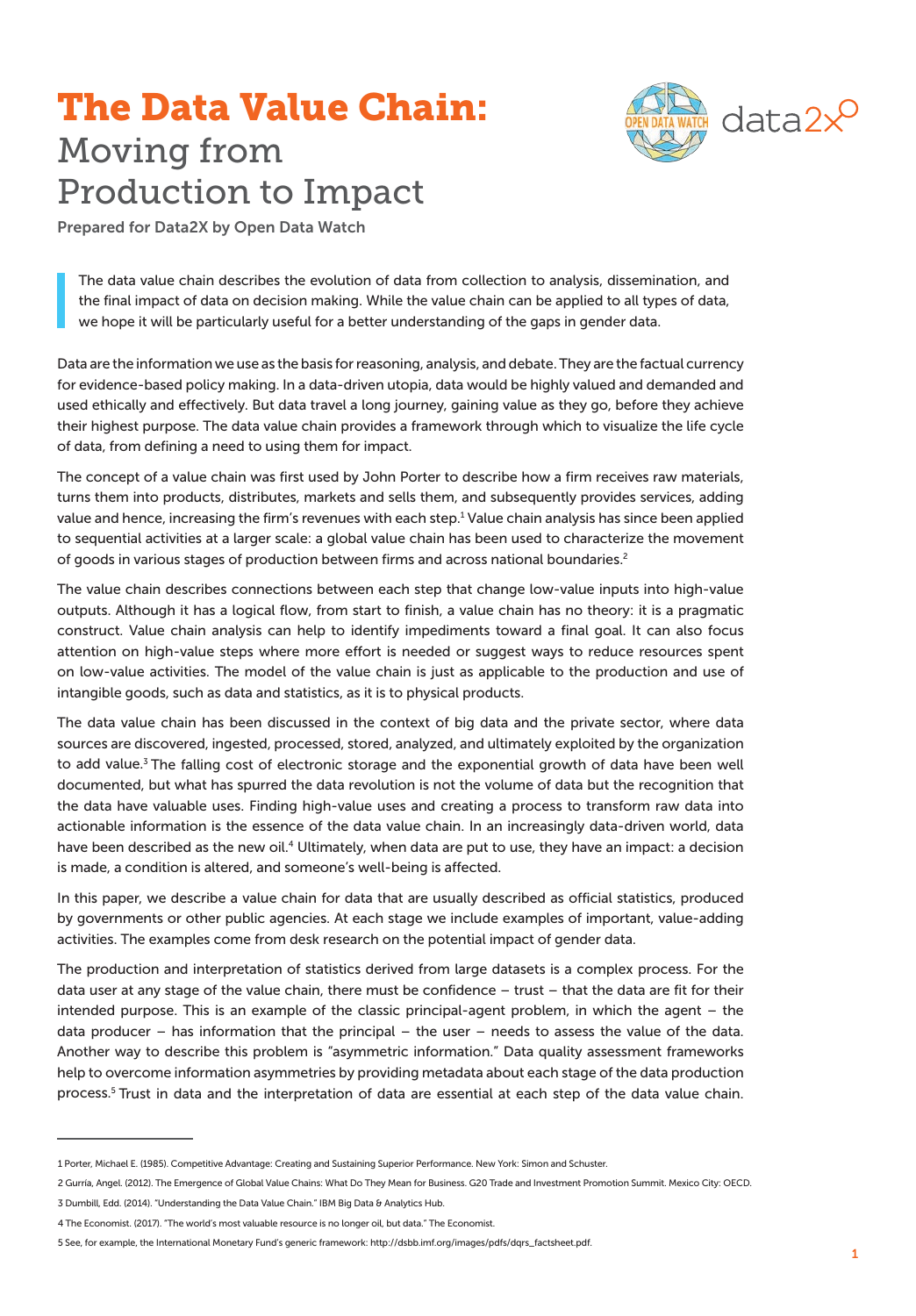# The Data Value Chain: Moving from Production to Impact



Prepared for Data2X by Open Data Watch

The data value chain describes the evolution of data from collection to analysis, dissemination, and the final impact of data on decision making. While the value chain can be applied to all types of data, we hope it will be particularly useful for a better understanding of the gaps in gender data.

Data are the information we use as the basis for reasoning, analysis, and debate. They are the factual currency for evidence-based policy making. In a data-driven utopia, data would be highly valued and demanded and used ethically and effectively. But data travel a long journey, gaining value as they go, before they achieve their highest purpose. The data value chain provides a framework through which to visualize the life cycle of data, from defining a need to using them for impact.

The concept of a value chain was first used by John Porter to describe how a firm receives raw materials, turns them into products, distributes, markets and sells them, and subsequently provides services, adding value and hence, increasing the firm's revenues with each step.<sup>1</sup> Value chain analysis has since been applied to sequential activities at a larger scale: a global value chain has been used to characterize the movement of goods in various stages of production between firms and across national boundaries.2

The value chain describes connections between each step that change low-value inputs into high-value outputs. Although it has a logical flow, from start to finish, a value chain has no theory: it is a pragmatic construct. Value chain analysis can help to identify impediments toward a final goal. It can also focus attention on high-value steps where more effort is needed or suggest ways to reduce resources spent on low-value activities. The model of the value chain is just as applicable to the production and use of intangible goods, such as data and statistics, as it is to physical products.

The data value chain has been discussed in the context of big data and the private sector, where data sources are discovered, ingested, processed, stored, analyzed, and ultimately exploited by the organization to add value.<sup>3</sup> The falling cost of electronic storage and the exponential growth of data have been well documented, but what has spurred the data revolution is not the volume of data but the recognition that the data have valuable uses. Finding high-value uses and creating a process to transform raw data into actionable information is the essence of the data value chain. In an increasingly data-driven world, data have been described as the new oil.<sup>4</sup> Ultimately, when data are put to use, they have an impact: a decision is made, a condition is altered, and someone's well-being is affected.

In this paper, we describe a value chain for data that are usually described as official statistics, produced by governments or other public agencies. At each stage we include examples of important, value-adding activities. The examples come from desk research on the potential impact of gender data.

The production and interpretation of statistics derived from large datasets is a complex process. For the data user at any stage of the value chain, there must be confidence – trust – that the data are fit for their intended purpose. This is an example of the classic principal-agent problem, in which the agent – the data producer  $-$  has information that the principal  $-$  the user  $-$  needs to assess the value of the data. Another way to describe this problem is "asymmetric information." Data quality assessment frameworks help to overcome information asymmetries by providing metadata about each stage of the data production process.<sup>5</sup> Trust in data and the interpretation of data are essential at each step of the data value chain.

<sup>1</sup> Porter, Michael E. (1985). Competitive Advantage: Creating and Sustaining Superior Performance. New York: Simon and Schuster.

<sup>2</sup> Gurría, Angel. (2012). The Emergence of Global Value Chains: What Do They Mean for Business. G20 Trade and Investment Promotion Summit. Mexico City: OECD.

<sup>3</sup> Dumbill, Edd. (2014). "Understanding the Data Value Chain." IBM Big Data & Analytics Hub.

<sup>4</sup> The Economist. (2017). "The world's most valuable resource is no longer oil, but data." The Economist.

<sup>5</sup> See, for example, the International Monetary Fund's generic framework: http://dsbb.imf.org/images/pdfs/dqrs\_factsheet.pdf.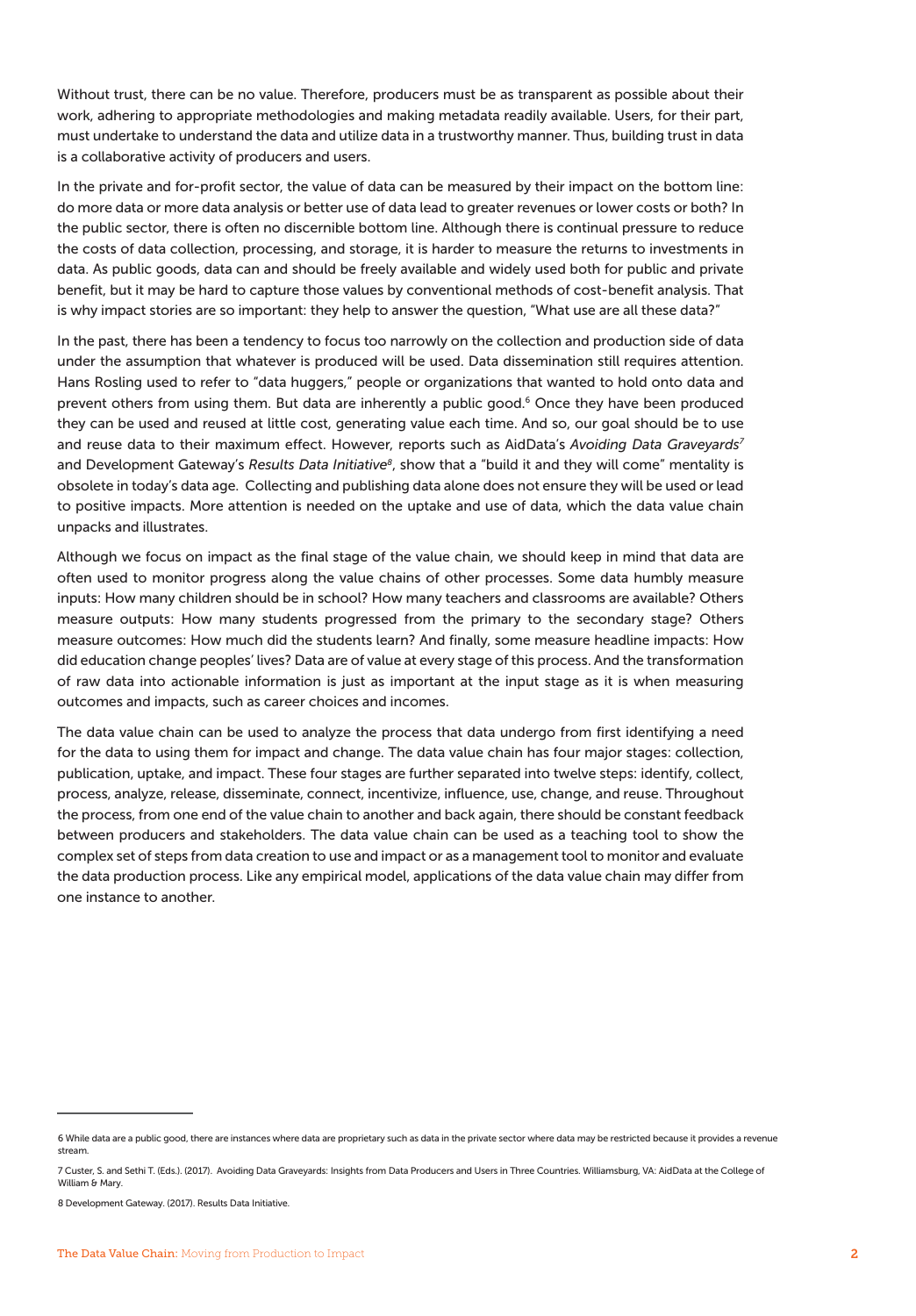Without trust, there can be no value. Therefore, producers must be as transparent as possible about their work, adhering to appropriate methodologies and making metadata readily available. Users, for their part, must undertake to understand the data and utilize data in a trustworthy manner. Thus, building trust in data is a collaborative activity of producers and users.

In the private and for-profit sector, the value of data can be measured by their impact on the bottom line: do more data or more data analysis or better use of data lead to greater revenues or lower costs or both? In the public sector, there is often no discernible bottom line. Although there is continual pressure to reduce the costs of data collection, processing, and storage, it is harder to measure the returns to investments in data. As public goods, data can and should be freely available and widely used both for public and private benefit, but it may be hard to capture those values by conventional methods of cost-benefit analysis. That is why impact stories are so important: they help to answer the question, "What use are all these data?"

In the past, there has been a tendency to focus too narrowly on the collection and production side of data under the assumption that whatever is produced will be used. Data dissemination still requires attention. Hans Rosling used to refer to "data huggers," people or organizations that wanted to hold onto data and prevent others from using them. But data are inherently a public good.<sup>6</sup> Once they have been produced they can be used and reused at little cost, generating value each time. And so, our goal should be to use and reuse data to their maximum effect. However, reports such as AidData's *Avoiding Data Graveyards7* and Development Gateway's *Results Data Initiative8*, show that a "build it and they will come" mentality is obsolete in today's data age. Collecting and publishing data alone does not ensure they will be used or lead to positive impacts. More attention is needed on the uptake and use of data, which the data value chain unpacks and illustrates.

Although we focus on impact as the final stage of the value chain, we should keep in mind that data are often used to monitor progress along the value chains of other processes. Some data humbly measure inputs: How many children should be in school? How many teachers and classrooms are available? Others measure outputs: How many students progressed from the primary to the secondary stage? Others measure outcomes: How much did the students learn? And finally, some measure headline impacts: How did education change peoples' lives? Data are of value at every stage of this process. And the transformation of raw data into actionable information is just as important at the input stage as it is when measuring outcomes and impacts, such as career choices and incomes.

The data value chain can be used to analyze the process that data undergo from first identifying a need for the data to using them for impact and change. The data value chain has four major stages: collection, publication, uptake, and impact. These four stages are further separated into twelve steps: identify, collect, process, analyze, release, disseminate, connect, incentivize, influence, use, change, and reuse. Throughout the process, from one end of the value chain to another and back again, there should be constant feedback between producers and stakeholders. The data value chain can be used as a teaching tool to show the complex set of steps from data creation to use and impact or as a management tool to monitor and evaluate the data production process. Like any empirical model, applications of the data value chain may differ from one instance to another.

<sup>6</sup> While data are a public good, there are instances where data are proprietary such as data in the private sector where data may be restricted because it provides a revenue stream.

<sup>7</sup> Custer, S. and Sethi T. (Eds.). (2017). Avoiding Data Graveyards: Insights from Data Producers and Users in Three Countries. Williamsburg, VA: AidData at the College of William & Mary.

<sup>8</sup> Development Gateway. (2017). Results Data Initiative.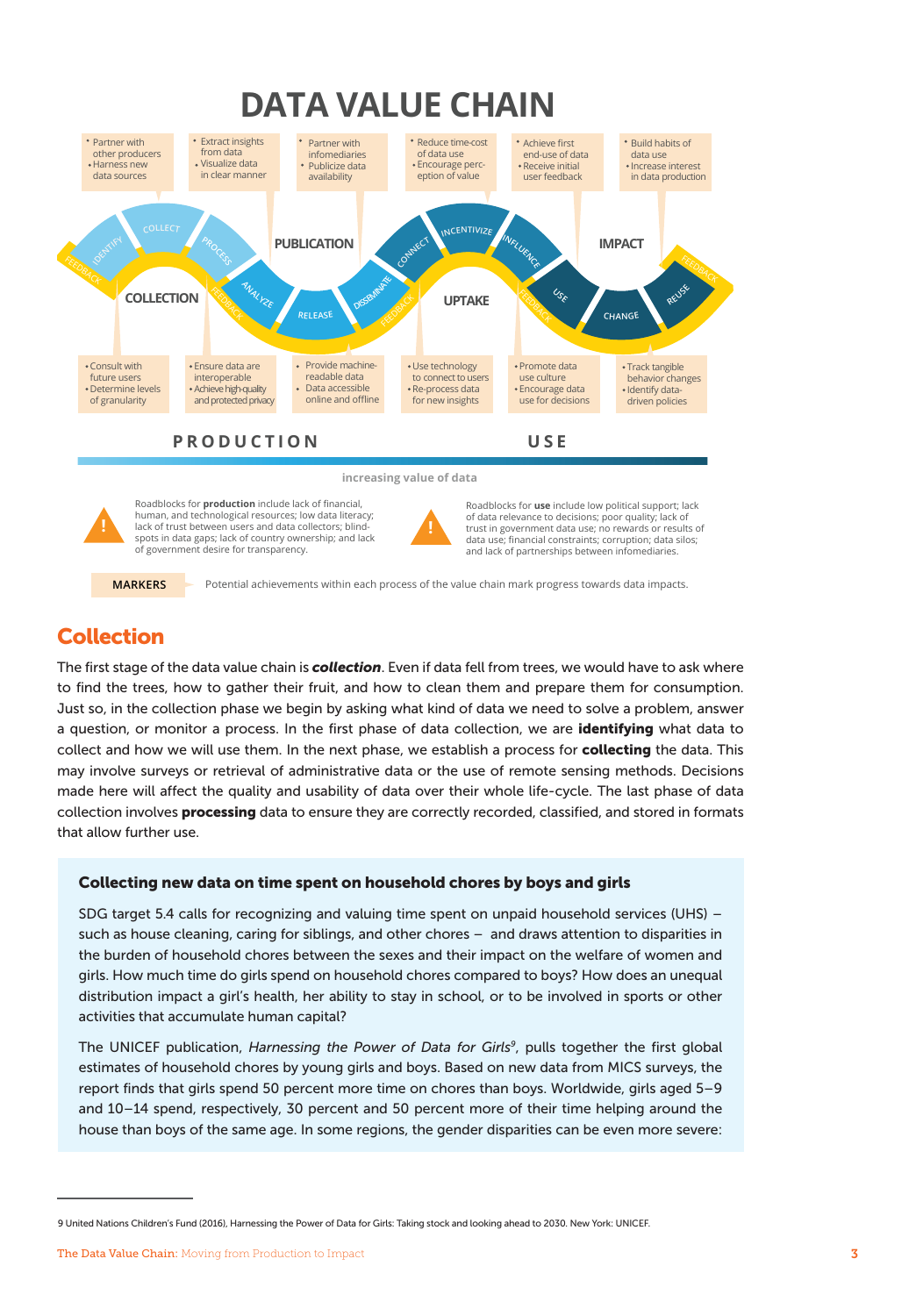## **DATA VALUE CHAIN**





Roadblocks for **production** include lack of financial, human, and technological resources; low data literacy; lack of trust between users and data collectors; blindspots in data gaps; lack of country ownership; and lack of government desire for transparency.



Roadblocks for **use** include low political support; lack of data relevance to decisions; poor quality; lack of trust in government data use; no rewards or results of data use; financial constraints; corruption; data silos; and lack of partnerships between infomediaries.

**MARKERS** Potential achievements within each process of the value chain mark progress towards data impacts.

## Collection

The first stage of the data value chain is *collection*. Even if data fell from trees, we would have to ask where to find the trees, how to gather their fruit, and how to clean them and prepare them for consumption. Just so, in the collection phase we begin by asking what kind of data we need to solve a problem, answer a question, or monitor a process. In the first phase of data collection, we are identifying what data to collect and how we will use them. In the next phase, we establish a process for **collecting** the data. This may involve surveys or retrieval of administrative data or the use of remote sensing methods. Decisions made here will affect the quality and usability of data over their whole life-cycle. The last phase of data collection involves **processing** data to ensure they are correctly recorded, classified, and stored in formats that allow further use.

#### Collecting new data on time spent on household chores by boys and girls

SDG target 5.4 calls for recognizing and valuing time spent on unpaid household services (UHS) – such as house cleaning, caring for siblings, and other chores – and draws attention to disparities in the burden of household chores between the sexes and their impact on the welfare of women and girls. How much time do girls spend on household chores compared to boys? How does an unequal distribution impact a girl's health, her ability to stay in school, or to be involved in sports or other activities that accumulate human capital?

The UNICEF publication, *Harnessing the Power of Data for Girls9*, pulls together the first global estimates of household chores by young girls and boys. Based on new data from MICS surveys, the report finds that girls spend 50 percent more time on chores than boys. Worldwide, girls aged 5–9 and 10–14 spend, respectively, 30 percent and 50 percent more of their time helping around the house than boys of the same age. In some regions, the gender disparities can be even more severe:

<sup>9</sup> United Nations Children's Fund (2016), Harnessing the Power of Data for Girls: Taking stock and looking ahead to 2030. New York: UNICEF.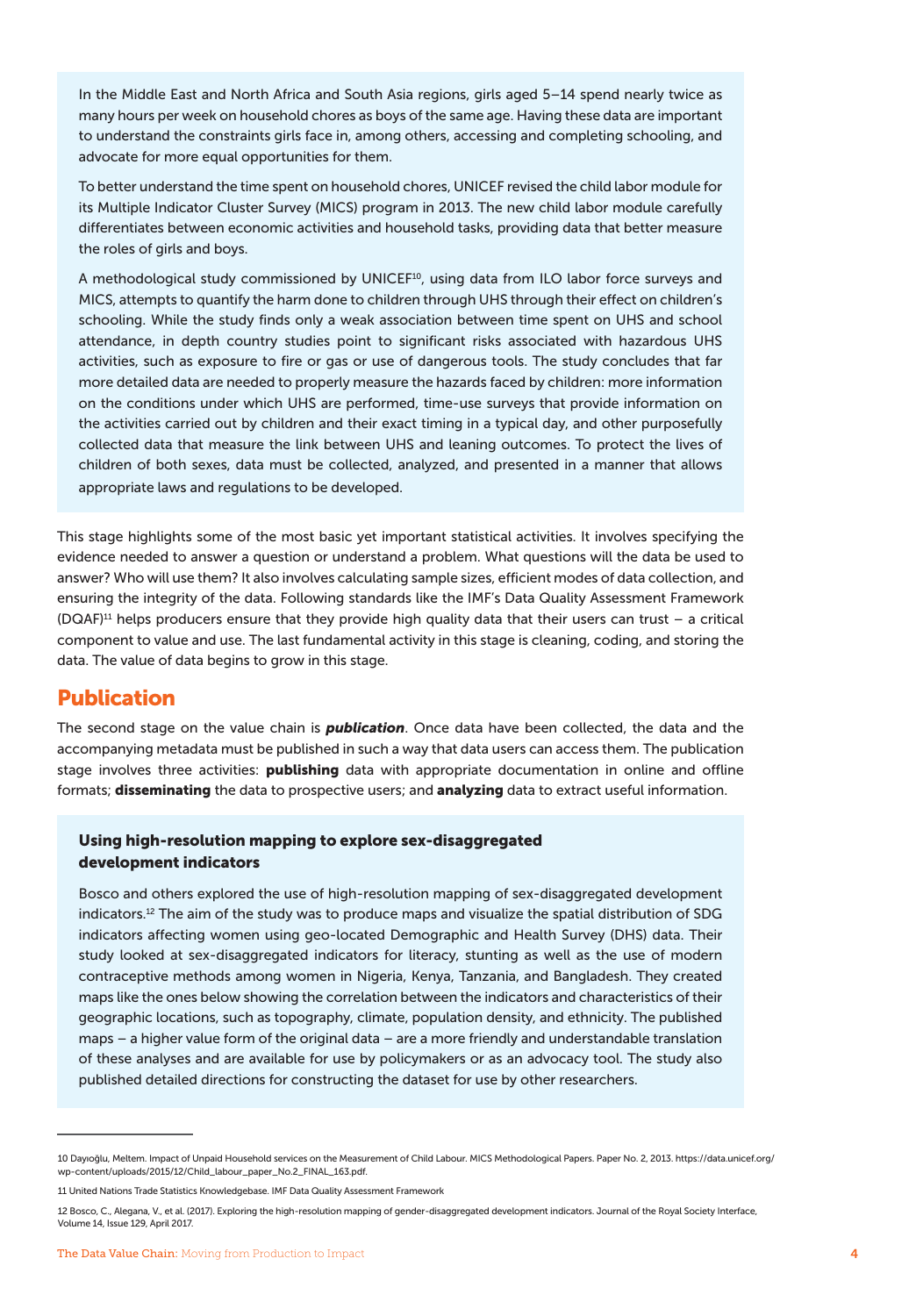In the Middle East and North Africa and South Asia regions, girls aged 5–14 spend nearly twice as many hours per week on household chores as boys of the same age. Having these data are important to understand the constraints girls face in, among others, accessing and completing schooling, and advocate for more equal opportunities for them.

To better understand the time spent on household chores, UNICEF revised the child labor module for its Multiple Indicator Cluster Survey (MICS) program in 2013. The new child labor module carefully differentiates between economic activities and household tasks, providing data that better measure the roles of girls and boys.

A methodological study commissioned by UNICEF<sup>10</sup>, using data from ILO labor force surveys and MICS, attempts to quantify the harm done to children through UHS through their effect on children's schooling. While the study finds only a weak association between time spent on UHS and school attendance, in depth country studies point to significant risks associated with hazardous UHS activities, such as exposure to fire or gas or use of dangerous tools. The study concludes that far more detailed data are needed to properly measure the hazards faced by children: more information on the conditions under which UHS are performed, time-use surveys that provide information on the activities carried out by children and their exact timing in a typical day, and other purposefully collected data that measure the link between UHS and leaning outcomes. To protect the lives of children of both sexes, data must be collected, analyzed, and presented in a manner that allows appropriate laws and regulations to be developed.

This stage highlights some of the most basic yet important statistical activities. It involves specifying the evidence needed to answer a question or understand a problem. What questions will the data be used to answer? Who will use them? It also involves calculating sample sizes, efficient modes of data collection, and ensuring the integrity of the data. Following standards like the IMF's Data Quality Assessment Framework (DQAF)11 helps producers ensure that they provide high quality data that their users can trust – a critical component to value and use. The last fundamental activity in this stage is cleaning, coding, and storing the data. The value of data begins to grow in this stage.

### Publication

The second stage on the value chain is *publication*. Once data have been collected, the data and the accompanying metadata must be published in such a way that data users can access them. The publication stage involves three activities: publishing data with appropriate documentation in online and offline formats; **disseminating** the data to prospective users; and **analyzing** data to extract useful information.

#### Using high-resolution mapping to explore sex-disaggregated development indicators

Bosco and others explored the use of high-resolution mapping of sex-disaggregated development indicators.<sup>12</sup> The aim of the study was to produce maps and visualize the spatial distribution of SDG indicators affecting women using geo-located Demographic and Health Survey (DHS) data. Their study looked at sex-disaggregated indicators for literacy, stunting as well as the use of modern contraceptive methods among women in Nigeria, Kenya, Tanzania, and Bangladesh. They created maps like the ones below showing the correlation between the indicators and characteristics of their geographic locations, such as topography, climate, population density, and ethnicity. The published maps – a higher value form of the original data – are a more friendly and understandable translation of these analyses and are available for use by policymakers or as an advocacy tool. The study also published detailed directions for constructing the dataset for use by other researchers.

<sup>10</sup> Dayıoğlu, Meltem. Impact of Unpaid Household services on the Measurement of Child Labour. MICS Methodological Papers. Paper No. 2, 2013. https://data.unicef.org/ wp-content/uploads/2015/12/Child\_labour\_paper\_No.2\_FINAL\_163.pdf.

<sup>11</sup> United Nations Trade Statistics Knowledgebase. IMF Data Quality Assessment Framework

<sup>12</sup> Bosco, C., Alegana, V., et al. (2017). Exploring the high-resolution mapping of gender-disaggregated development indicators. Journal of the Royal Society Interface, Volume 14, Issue 129, April 2017.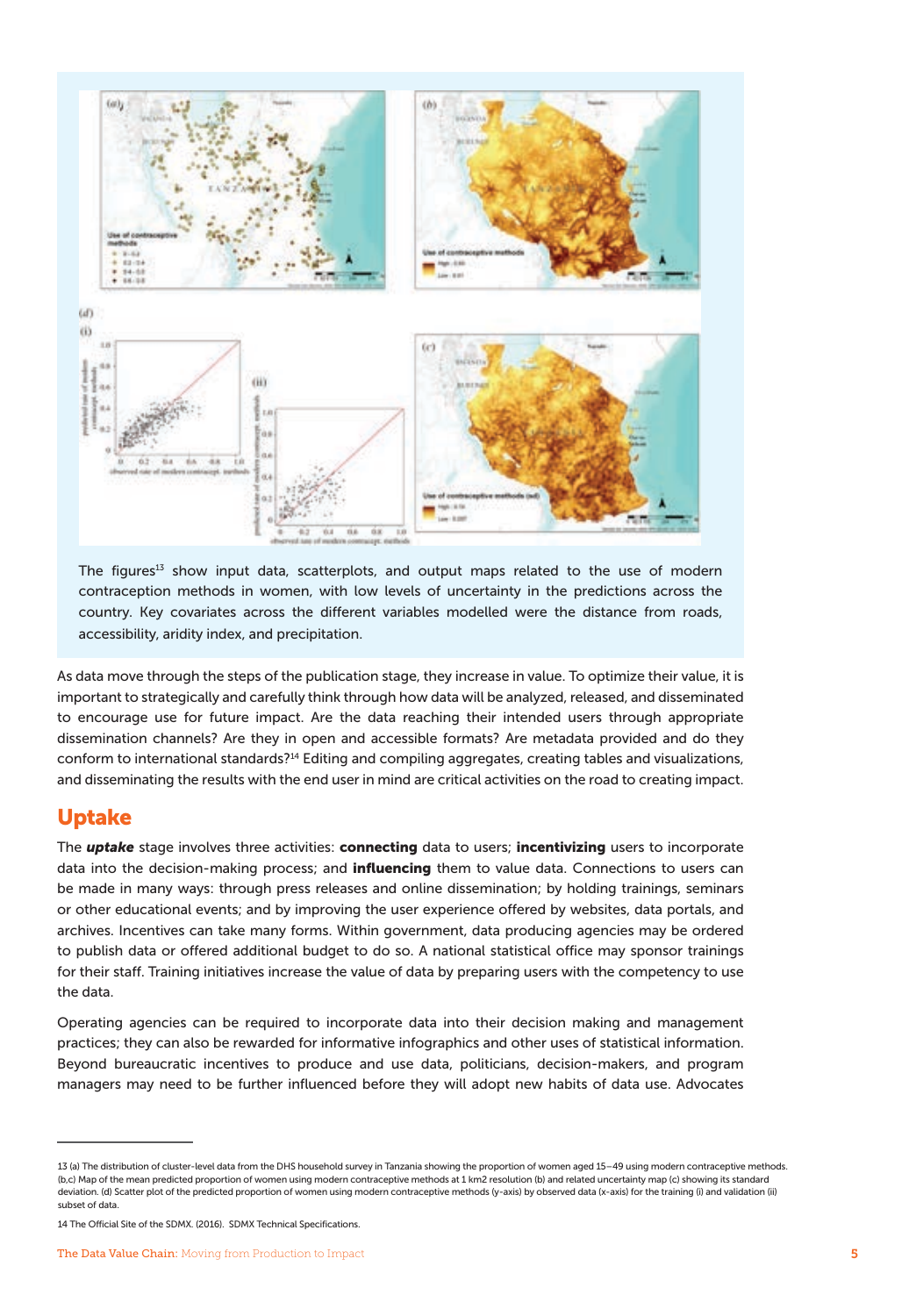

The figures $13$  show input data, scatterplots, and output maps related to the use of modern contraception methods in women, with low levels of uncertainty in the predictions across the country. Key covariates across the different variables modelled were the distance from roads, accessibility, aridity index, and precipitation.

As data move through the steps of the publication stage, they increase in value. To optimize their value, it is important to strategically and carefully think through how data will be analyzed, released, and disseminated to encourage use for future impact. Are the data reaching their intended users through appropriate dissemination channels? Are they in open and accessible formats? Are metadata provided and do they conform to international standards?14 Editing and compiling aggregates, creating tables and visualizations, and disseminating the results with the end user in mind are critical activities on the road to creating impact.

### Uptake

The *uptake* stage involves three activities: connecting data to users; incentivizing users to incorporate data into the decision-making process; and influencing them to value data. Connections to users can be made in many ways: through press releases and online dissemination; by holding trainings, seminars or other educational events; and by improving the user experience offered by websites, data portals, and archives. Incentives can take many forms. Within government, data producing agencies may be ordered to publish data or offered additional budget to do so. A national statistical office may sponsor trainings for their staff. Training initiatives increase the value of data by preparing users with the competency to use the data.

Operating agencies can be required to incorporate data into their decision making and management practices; they can also be rewarded for informative infographics and other uses of statistical information. Beyond bureaucratic incentives to produce and use data, politicians, decision-makers, and program managers may need to be further influenced before they will adopt new habits of data use. Advocates

<sup>13 (</sup>a) The distribution of cluster-level data from the DHS household survey in Tanzania showing the proportion of women aged 15–49 using modern contraceptive methods. (b,c) Map of the mean predicted proportion of women using modern contraceptive methods at 1 km2 resolution (b) and related uncertainty map (c) showing its standard deviation. (d) Scatter plot of the predicted proportion of women using modern contraceptive methods (y-axis) by observed data (x-axis) for the training (i) and validation (ii) subset of data.

<sup>14</sup> The Official Site of the SDMX. (2016). SDMX Technical Specifications.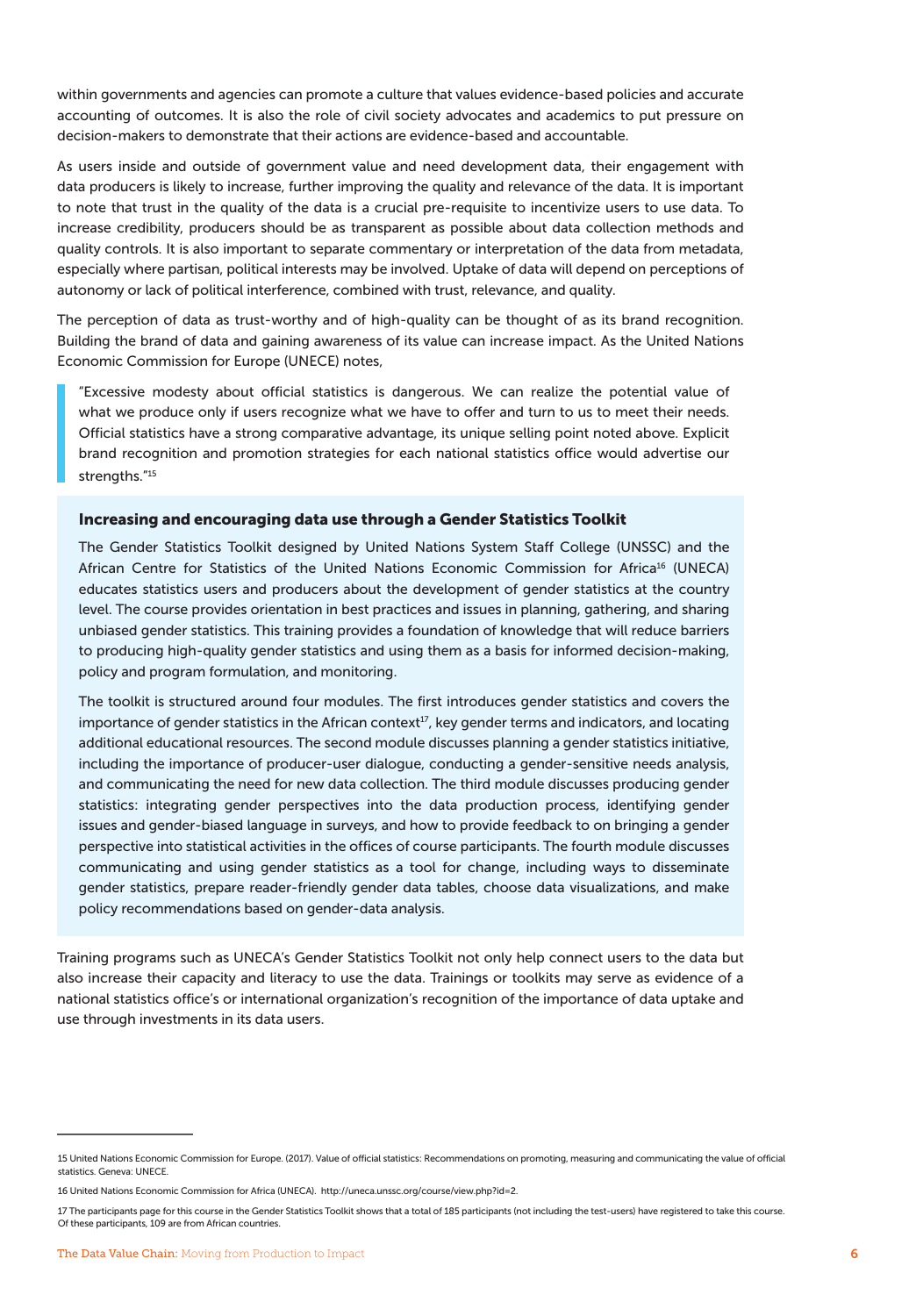within governments and agencies can promote a culture that values evidence-based policies and accurate accounting of outcomes. It is also the role of civil society advocates and academics to put pressure on decision-makers to demonstrate that their actions are evidence-based and accountable.

As users inside and outside of government value and need development data, their engagement with data producers is likely to increase, further improving the quality and relevance of the data. It is important to note that trust in the quality of the data is a crucial pre-requisite to incentivize users to use data. To increase credibility, producers should be as transparent as possible about data collection methods and quality controls. It is also important to separate commentary or interpretation of the data from metadata, especially where partisan, political interests may be involved. Uptake of data will depend on perceptions of autonomy or lack of political interference, combined with trust, relevance, and quality.

The perception of data as trust-worthy and of high-quality can be thought of as its brand recognition. Building the brand of data and gaining awareness of its value can increase impact. As the United Nations Economic Commission for Europe (UNECE) notes,

"Excessive modesty about official statistics is dangerous. We can realize the potential value of what we produce only if users recognize what we have to offer and turn to us to meet their needs. Official statistics have a strong comparative advantage, its unique selling point noted above. Explicit brand recognition and promotion strategies for each national statistics office would advertise our strengths."15

#### Increasing and encouraging data use through a Gender Statistics Toolkit

The Gender Statistics Toolkit designed by United Nations System Staff College (UNSSC) and the African Centre for Statistics of the United Nations Economic Commission for Africa<sup>16</sup> (UNECA) educates statistics users and producers about the development of gender statistics at the country level. The course provides orientation in best practices and issues in planning, gathering, and sharing unbiased gender statistics. This training provides a foundation of knowledge that will reduce barriers to producing high-quality gender statistics and using them as a basis for informed decision-making, policy and program formulation, and monitoring.

The toolkit is structured around four modules. The first introduces gender statistics and covers the importance of gender statistics in the African context $^{17}$ , key gender terms and indicators, and locating additional educational resources. The second module discusses planning a gender statistics initiative, including the importance of producer-user dialogue, conducting a gender-sensitive needs analysis, and communicating the need for new data collection. The third module discusses producing gender statistics: integrating gender perspectives into the data production process, identifying gender issues and gender-biased language in surveys, and how to provide feedback to on bringing a gender perspective into statistical activities in the offices of course participants. The fourth module discusses communicating and using gender statistics as a tool for change, including ways to disseminate gender statistics, prepare reader-friendly gender data tables, choose data visualizations, and make policy recommendations based on gender-data analysis.

Training programs such as UNECA's Gender Statistics Toolkit not only help connect users to the data but also increase their capacity and literacy to use the data. Trainings or toolkits may serve as evidence of a national statistics office's or international organization's recognition of the importance of data uptake and use through investments in its data users.

<sup>15</sup> United Nations Economic Commission for Europe. (2017). Value of official statistics: Recommendations on promoting, measuring and communicating the value of official statistics. Geneva: UNECE.

<sup>16</sup> United Nations Economic Commission for Africa (UNECA). http://uneca.unssc.org/course/view.php?id=2.

<sup>17</sup> The participants page for this course in the Gender Statistics Toolkit shows that a total of 185 participants (not including the test-users) have registered to take this course. Of these participants, 109 are from African countries.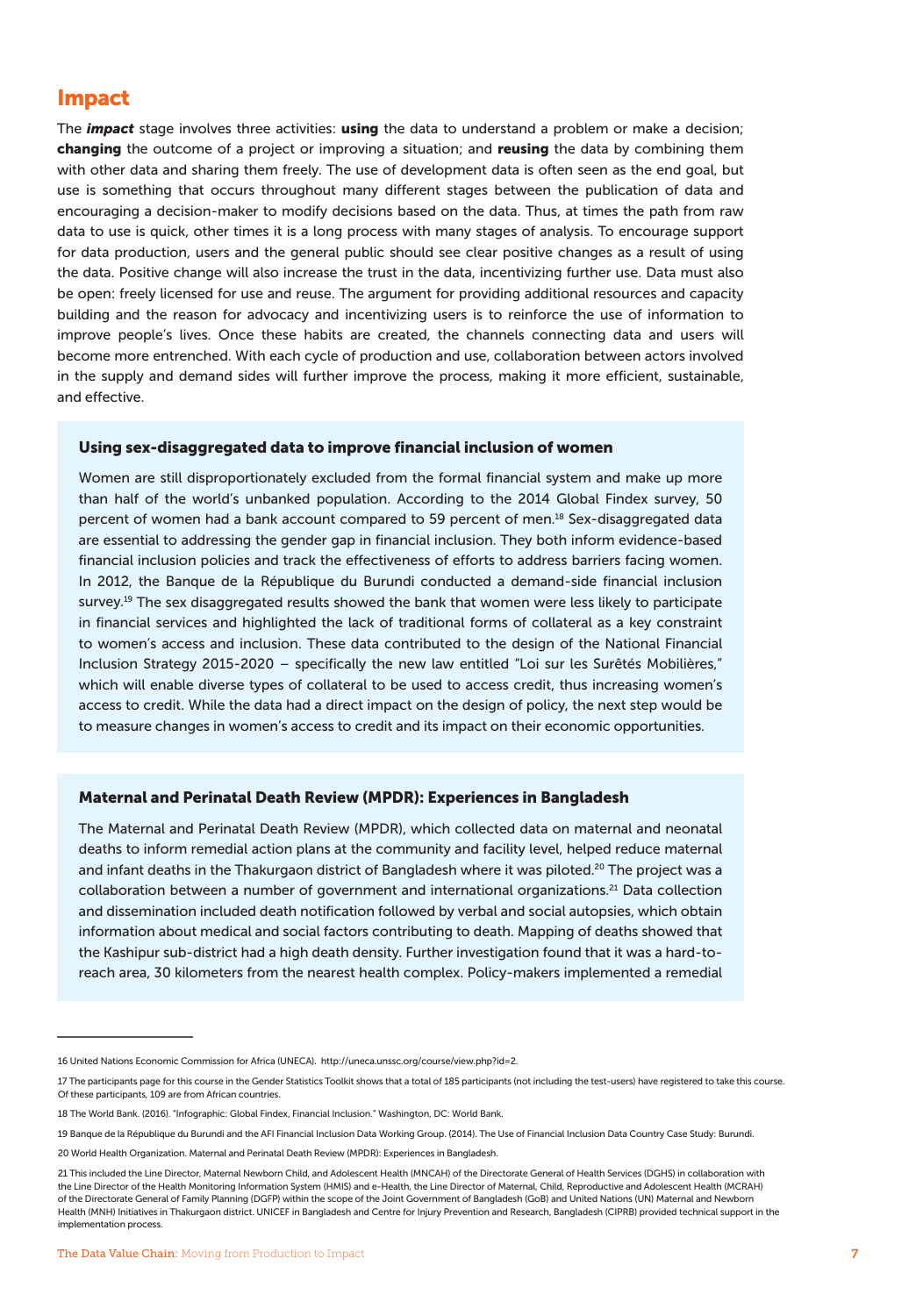## Impact

The *impact* stage involves three activities: using the data to understand a problem or make a decision; changing the outcome of a project or improving a situation; and reusing the data by combining them with other data and sharing them freely. The use of development data is often seen as the end goal, but use is something that occurs throughout many different stages between the publication of data and encouraging a decision-maker to modify decisions based on the data. Thus, at times the path from raw data to use is quick, other times it is a long process with many stages of analysis. To encourage support for data production, users and the general public should see clear positive changes as a result of using the data. Positive change will also increase the trust in the data, incentivizing further use. Data must also be open: freely licensed for use and reuse. The argument for providing additional resources and capacity building and the reason for advocacy and incentivizing users is to reinforce the use of information to improve people's lives. Once these habits are created, the channels connecting data and users will become more entrenched. With each cycle of production and use, collaboration between actors involved in the supply and demand sides will further improve the process, making it more efficient, sustainable, and effective.

#### Using sex-disaggregated data to improve financial inclusion of women

Women are still disproportionately excluded from the formal financial system and make up more than half of the world's unbanked population. According to the 2014 Global Findex survey, 50 percent of women had a bank account compared to 59 percent of men.<sup>18</sup> Sex-disaggregated data are essential to addressing the gender gap in financial inclusion. They both inform evidence-based financial inclusion policies and track the effectiveness of efforts to address barriers facing women. In 2012, the Banque de la République du Burundi conducted a demand-side financial inclusion survey.<sup>19</sup> The sex disaggregated results showed the bank that women were less likely to participate in financial services and highlighted the lack of traditional forms of collateral as a key constraint to women's access and inclusion. These data contributed to the design of the National Financial Inclusion Strategy 2015-2020 – specifically the new law entitled "Loi sur les Surêtés Mobilières," which will enable diverse types of collateral to be used to access credit, thus increasing women's access to credit. While the data had a direct impact on the design of policy, the next step would be to measure changes in women's access to credit and its impact on their economic opportunities.

#### Maternal and Perinatal Death Review (MPDR): Experiences in Bangladesh

The Maternal and Perinatal Death Review (MPDR), which collected data on maternal and neonatal deaths to inform remedial action plans at the community and facility level, helped reduce maternal and infant deaths in the Thakurgaon district of Bangladesh where it was piloted.<sup>20</sup> The project was a collaboration between a number of government and international organizations.21 Data collection and dissemination included death notification followed by verbal and social autopsies, which obtain information about medical and social factors contributing to death. Mapping of deaths showed that the Kashipur sub-district had a high death density. Further investigation found that it was a hard-toreach area, 30 kilometers from the nearest health complex. Policy-makers implemented a remedial

<sup>16</sup> United Nations Economic Commission for Africa (UNECA). http://uneca.unssc.org/course/view.php?id=2.

<sup>17</sup> The participants page for this course in the Gender Statistics Toolkit shows that a total of 185 participants (not including the test-users) have registered to take this course. Of these participants, 109 are from African countries.

<sup>18</sup> The World Bank. (2016). "Infographic: Global Findex, Financial Inclusion." Washington, DC: World Bank.

<sup>19</sup> Banque de la République du Burundi and the AFI Financial Inclusion Data Working Group. (2014). The Use of Financial Inclusion Data Country Case Study: Burundi.

<sup>20</sup> World Health Organization. Maternal and Perinatal Death Review (MPDR): Experiences in Bangladesh.

<sup>21</sup> This included the Line Director, Maternal Newborn Child, and Adolescent Health (MNCAH) of the Directorate General of Health Services (DGHS) in collaboration with the Line Director of the Health Monitoring Information System (HMIS) and e-Health, the Line Director of Maternal, Child, Reproductive and Adolescent Health (MCRAH) of the Directorate General of Family Planning (DGFP) within the scope of the Joint Government of Bangladesh (GoB) and United Nations (UN) Maternal and Newborn Health (MNH) Initiatives in Thakurgaon district. UNICEF in Bangladesh and Centre for Injury Prevention and Research, Bangladesh (CIPRB) provided technical support in the implementation process.